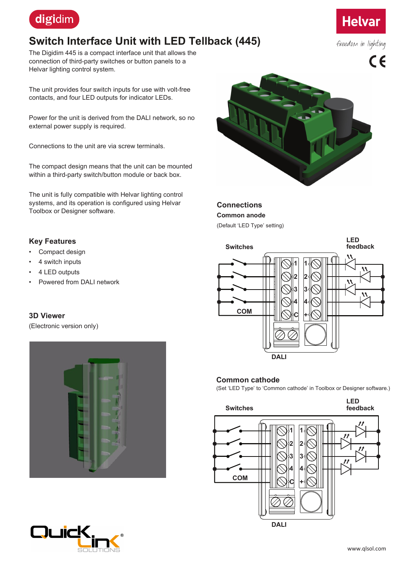

# **Switch Interface Unit with LED Tellback (445)**

The Digidim 445 is a compact interface unit that allows the connection of third-party switches or button panels to a Helvar lighting control system.

The unit provides four switch inputs for use with volt-free contacts, and four LED outputs for indicator LEDs.

Power for the unit is derived from the DALI network, so no external power supply is required.

Connections to the unit are via screw terminals.

The compact design means that the unit can be mounted within a third-party switch/button module or back box.

The unit is fully compatible with Helvar lighting control systems, and its operation is configured using Helvar Toolbox or Designer software.

### **Key Features**

- Compact design
- 4 switch inputs
- 4 LED outputs
- Powered from DALI network

### **3D Viewer**

(Electronic version only)







## **Connections**

**Common anode**

(Default 'LED Type' setting)



#### **Common cathode**

(Set 'LED Type' to 'Common cathode' in Toolbox or Designer software.)





freedom in lighting